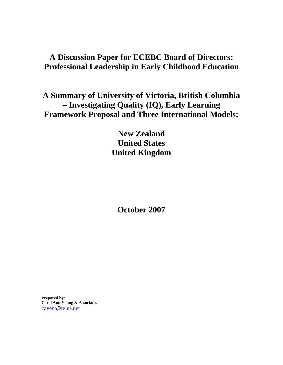# **A Discussion Paper for ECEBC Board of Directors: Professional Leadership in Early Childhood Education**

**A Summary of University of Victoria, British Columbia – Investigating Quality (IQ), Early Learning Framework Proposal and Three International Models:** 

> **New Zealand United States United Kingdom**

**October 2007** 

**Prepared by: Carol Ann Young & Associates**  [cayent@telus.net](mailto:cayent@telus.net)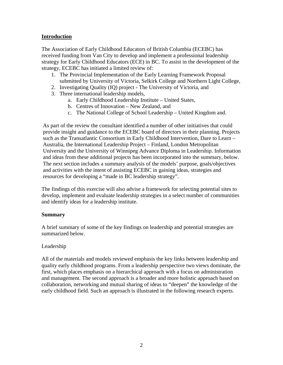#### **Introduction**

The Association of Early Childhood Educators of British Columbia (ECEBC) has received funding from Van City to develop and implement a professional leadership strategy for Early Childhood Educators (ECE) in BC. To assist in the development of the strategy, ECEBC has initiated a limited review of:

- 1. The Provincial Implementation of the Early Learning Framework Proposal submitted by University of Victoria, Selkirk College and Northern Light College,
- 2. Investigating Quality (IQ) project The University of Victoria, and
- 3. Three international leadership models,
	- a. Early Childhood Leadership Institute United States,
	- b. Centres of Innovation New Zealand, and
	- c. The National College of School Leadership United Kingdom and.

As part of the review the consultant identified a number of other initiatives that could provide insight and guidance to the ECEBC board of directors in their planning. Projects such as the Transatlantic Consortium in Early Childhood Intervention, Dare to Learn – Australia, the International Leadership Project – Finland, London Metropolitan University and the University of Winnipeg Advance Diploma in Leadership. Information and ideas from these additional projects has been incorporated into the summary, below. The next section includes a summary analysis of the models' purpose, goals/objectives and activities with the intent of assisting ECEBC in gaining ideas, strategies and resources for developing a "made in BC leadership strategy".

The findings of this exercise will also advise a framework for selecting potential sites to develop, implement and evaluate leadership strategies in a select number of communities and identify ideas for a leadership institute.

#### **Summary**

A brief summary of some of the key findings on leadership and potential strategies are summarized below.

#### Leadership

All of the materials and models reviewed emphasis the key links between leadership and quality early childhood programs. From a leadership perspective two views dominate, the first, which places emphasis on a hierarchical approach with a focus on administration and management. The second approach is a broader and more holistic approach based on collaboration, networking and mutual sharing of ideas to "deepen" the knowledge of the early childhood field. Such an approach is illustrated in the following research experts.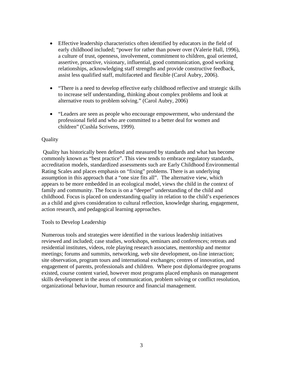- Effective leadership characteristics often identified by educators in the field of early childhood included; "power for rather than power over (Valerie Hall, 1996), a culture of trust, openness, involvement, commitment to children, goal oriented, assertive, proactive, visionary, influential, good communication, good working relationships, acknowledging staff strengths and provide constructive feedback, assist less qualified staff, multifaceted and flexible (Carol Aubry, 2006).
- "There is a need to develop effective early childhood reflective and strategic skills to increase self understanding, thinking about complex problems and look at alternative routs to problem solving." (Carol Aubry, 2006)
- "Leaders are seen as people who encourage empowerment, who understand the professional field and who are committed to a better deal for women and children" (Cushla Scrivens, 1999).

#### **Quality**

 Quality has historically been defined and measured by standards and what has become commonly known as "best practice". This view tends to embrace regulatory standards, accreditation models, standardized assessments such are Early Childhood Environmental Rating Scales and places emphasis on "fixing" problems. There is an underlying assumption in this approach that a "one size fits all". The alternative view, which appears to be more embedded in an ecological model, views the child in the context of family and community. The focus is on a "deeper" understanding of the child and childhood. Focus is placed on understanding quality in relation to the child's experiences as a child and gives consideration to cultural reflection, knowledge sharing, engagement, action research, and pedagogical learning approaches.

#### Tools to Develop Leadership

Numerous tools and strategies were identified in the various leadership initiatives reviewed and included; case studies, workshops, seminars and conferences; retreats and residential institutes, videos, role playing research associates, mentorship and mentor meetings; forums and summits, networking, web site development, on-line interaction; site observation, program tours and international exchanges; centres of innovation, and engagement of parents, professionals and children. Where post diploma/degree programs existed, course content varied, however most programs placed emphasis on management skills development in the areas of communication, problem solving or conflict resolution, organizational behaviour, human resource and financial management.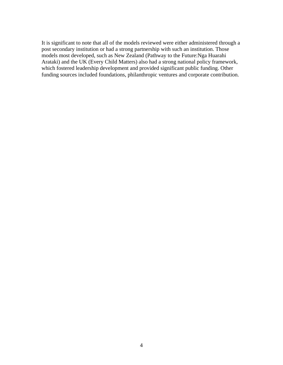It is significant to note that all of the models reviewed were either administered through a post secondary institution or had a strong partnership with such an institution. Those models most developed, such as New Zealand (Pathway to the Future:Nga Huarahi Arataki) and the UK (Every Child Matters) also had a strong national policy framework, which fostered leadership development and provided significant public funding. Other funding sources included foundations, philanthropic ventures and corporate contribution.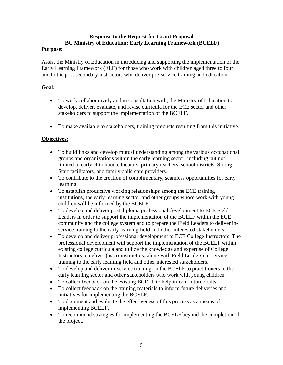## **Response to the Request for Grant Proposal BC Ministry of Education: Early Learning Framework (BCELF)**

#### **Purpose:**

Assist the Ministry of Education in introducing and supporting the implementation of the Early Learning Framework (ELF) for those who work with children aged three to four and to the post secondary instructors who deliver pre-service training and education.

## **Goal:**

- To work collaboratively and in consultation with, the Ministry of Education to develop, deliver, evaluate, and revise curricula for the ECE sector and other stakeholders to support the implementation of the BCELF.
- To make available to stakeholders, training products resulting from this initiative.

## **Objectives:**

- To build links and develop mutual understanding among the various occupational groups and organizations within the early learning sector, including but not limited to early childhood educators, primary teachers, school districts, Strong Start facilitators, and family child care providers.
- To contribute to the creation of complimentary, seamless opportunities for early learning.
- To establish productive working relationships among the ECE training institutions, the early learning sector, and other groups whose work with young children will be informed by the BCELF
- To develop and deliver post diploma professional development to ECE Field Leaders in order to support the implementation of the BCELF within the ECE community and the college system and to prepare the Field Leaders to deliver inservice training to the early learning field and other interested stakeholders.
- To develop and deliver professional development to ECE College Instructors. The professional development will support the implementation of the BCELF within existing college curricula and utilize the knowledge and expertise of College Instructors to deliver (as co-instructors, along with Field Leaders) in-service training to the early learning field and other interested stakeholders.
- To develop and deliver in-service training on the BCELF to practitioners in the early learning sector and other stakeholders who work with young children.
- To collect feedback on the existing BCELF to help inform future drafts.
- To collect feedback on the training materials to inform future deliveries and initiatives for implementing the BCELF.
- To document and evaluate the effectiveness of this process as a means of implementing BCELF.
- To recommend strategies for implementing the BCELF beyond the completion of the project.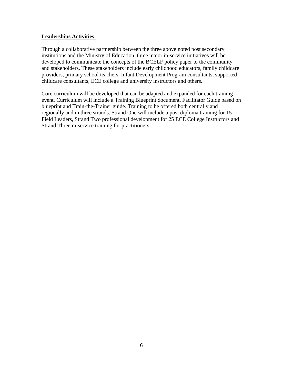#### **Leaderships Activities:**

Through a collaborative partnership between the three above noted post secondary institutions and the Ministry of Education, three major in-service initiatives will be developed to communicate the concepts of the BCELF policy paper to the community and stakeholders. These stakeholders include early childhood educators, family childcare providers, primary school teachers, Infant Development Program consultants, supported childcare consultants, ECE college and university instructors and others.

Core curriculum will be developed that can be adapted and expanded for each training event. Curriculum will include a Training Blueprint document, Facilitator Guide based on blueprint and Train-the-Trainer guide. Training to be offered both centrally and regionally and in three strands. Strand One will include a post diploma training for 15 Field Leaders, Strand Two professional development for 25 ECE College Instructors and Strand Three in-service training for practitioners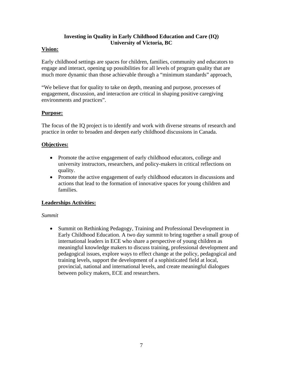## **Investing in Quality in Early Childhood Education and Care (IQ) University of Victoria, BC**

## **Vision:**

Early childhood settings are spaces for children, families, community and educators to engage and interact, opening up possibilities for all levels of program quality that are much more dynamic than those achievable through a "minimum standards" approach,

"We believe that for quality to take on depth, meaning and purpose, processes of engagement, discussion, and interaction are critical in shaping positive caregiving environments and practices".

## **Purpose:**

The focus of the IQ project is to identify and work with diverse streams of research and practice in order to broaden and deepen early childhood discussions in Canada.

## **Objectives:**

- Promote the active engagement of early childhood educators, college and university instructors, researchers, and policy-makers in critical reflections on quality.
- Promote the active engagement of early childhood educators in discussions and actions that lead to the formation of innovative spaces for young children and families.

## **Leaderships Activities:**

#### *Summit*

• Summit on Rethinking Pedagogy, Training and Professional Development in Early Childhood Education. A two day summit to bring together a small group of international leaders in ECE who share a perspective of young children as meaningful knowledge makers to discuss training, professional development and pedagogical issues, explore ways to effect change at the policy, pedagogical and training levels, support the development of a sophisticated field at local, provincial, national and international levels, and create meaningful dialogues between policy makers, ECE and researchers.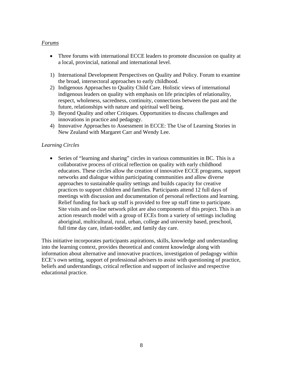#### *Forums*

- Three forums with international ECCE leaders to promote discussion on quality at a local, provincial, national and international level.
- 1) International Development Perspectives on Quality and Policy. Forum to examine the broad, intersectoral approaches to early childhood.
- 2) Indigenous Approaches to Quality Child Care. Holistic views of international indigenous leaders on quality with emphasis on life principles of relationality, respect, wholeness, sacredness, continuity, connections between the past and the future, relationships with nature and spiritual well being.
- 3) Beyond Quality and other Critiques. Opportunities to discuss challenges and innovations in practice and pedagogy.
- 4) Innovative Approaches to Assessment in ECCE: The Use of Learning Stories in New Zealand with Margaret Carr and Wendy Lee.

#### *Learning Circles*

• Series of "learning and sharing" circles in various communities in BC. This is a collaborative process of critical reflection on quality with early childhood educators. These circles allow the creation of innovative ECCE programs, support networks and dialogue within participating communities and allow diverse approaches to sustainable quality settings and builds capacity for creative practices to support children and families. Participants attend 12 full days of meetings with discussion and documentation of personal reflections and learning. Relief funding for back up staff is provided to free up staff time to participate. Site visits and on-line network pilot are also components of this project. This is an action research model with a group of ECEs from a variety of settings including aboriginal, multicultural, rural, urban, college and university based, preschool, full time day care, infant-toddler, and family day care.

This initiative incorporates participants aspirations, skills, knowledge and understanding into the learning context, provides theoretical and content knowledge along with information about alternative and innovative practices, investigation of pedagogy within ECE's own setting, support of professional advisers to assist with questioning of practice, beliefs and understandings, critical reflection and support of inclusive and respective educational practice.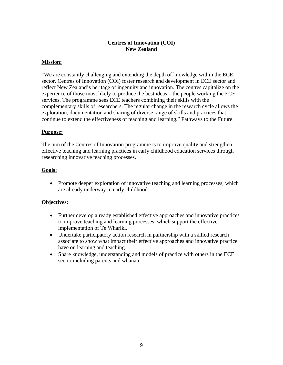## **Centres of Innovation (COI) New Zealand**

#### **Mission:**

"We are constantly challenging and extending the depth of knowledge within the ECE sector. Centres of Innovation (COI) foster research and development in ECE sector and reflect New Zealand's heritage of ingenuity and innovation. The centres capitalize on the experience of those most likely to produce the best ideas – the people working the ECE services. The programme sees ECE teachers combining their skills with the complementary skills of researchers. The regular change in the research cycle allows the exploration, documentation and sharing of diverse range of skills and practices that continue to extend the effectiveness of teaching and learning." Pathways to the Future.

#### **Purpose:**

The aim of the Centres of Innovation programme is to improve quality and strengthen effective teaching and learning practices in early childhood education services through researching innovative teaching processes.

#### **Goals:**

• Promote deeper exploration of innovative teaching and learning processes, which are already underway in early childhood.

#### **Objectives:**

- Further develop already established effective approaches and innovative practices to improve teaching and learning processes, which support the effective implementation of Te Whariki.
- Undertake participatory action research in partnership with a skilled research associate to show what impact their effective approaches and innovative practice have on learning and teaching.
- Share knowledge, understanding and models of practice with others in the ECE sector including parents and whanau.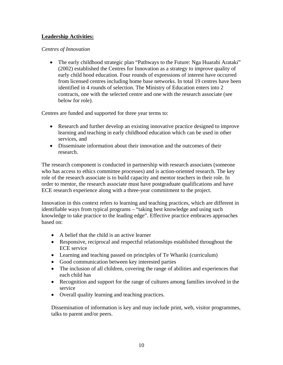## **Leadership Activities:**

#### *Centres of Innovation*

• The early childhood strategic plan "Pathways to the Future: Nga Huarahi Arataki" (2002) established the Centres for Innovation as a strategy to improve quality of early child hood education. Four rounds of expressions of interest have occurred from licensed centres including home base networks. In total 19 centres have been identified in 4 rounds of selection. The Ministry of Education enters into 2 contracts, one with the selected centre and one with the research associate (see below for role).

Centres are funded and supported for three year terms to:

- Research and further develop an existing innovative practice designed to improve learning and teaching in early childhood education which can be used in other services, and
- Disseminate information about their innovation and the outcomes of their research.

The research component is conducted in partnership with research associates (someone who has access to ethics committee processes) and is action-oriented research. The key role of the research associate is to build capacity and mentor teachers in their role. In order to mentor, the research associate must have postgraduate qualifications and have ECE research experience along with a three-year commitment to the project.

Innovation in this context refers to learning and teaching practices, which are different in identifiable ways from typical programs – "taking best knowledge and using such knowledge to take practice to the leading edge". Effective practice embraces approaches based on:

- A belief that the child is an active learner
- Responsive, reciprocal and respectful relationships established throughout the ECE service
- Learning and teaching passed on principles of Te Whariki (curriculum)
- Good communication between key interested parties
- The inclusion of all children, covering the range of abilities and experiences that each child has
- Recognition and support for the range of cultures among families involved in the service
- Overall quality learning and teaching practices.

Dissemination of information is key and may include print, web, visitor programmes, talks to parent and/or peers.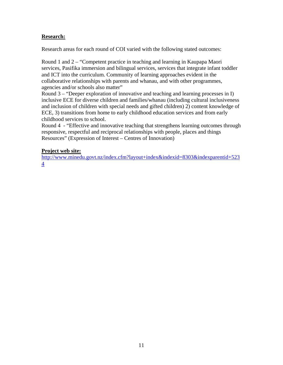## **Research:**

Research areas for each round of COI varied with the following stated outcomes:

Round 1 and 2 – "Competent practice in teaching and learning in Kaupapa Maori services, Pasifika immersion and bilingual services, services that integrate infant toddler and ICT into the curriculum. Community of learning approaches evident in the collaborative relationships with parents and whanau, and with other programmes, agencies and/or schools also matter"

Round 3 – "Deeper exploration of innovative and teaching and learning processes in I) inclusive ECE for diverse children and families/whanau (including cultural inclusiveness and inclusion of children with special needs and gifted children) 2) content knowledge of ECE, 3) transitions from home to early childhood education services and from early childhood services to school.

Round 4 - "Effective and innovative teaching that strengthens learning outcomes through responsive, respectful and reciprocal relationships with people, places and things Resources" (Expression of Interest – Centres of Innovation)

#### **Project web site:**

[http://www.minedu.govt.nz/index.cfm?layout+index&indexid=8303&indexparentid+523](http://www.minedu.govt.nz/index.cfm?layout+index&indexid=8303&indexparentid+5234) [4](http://www.minedu.govt.nz/index.cfm?layout+index&indexid=8303&indexparentid+5234)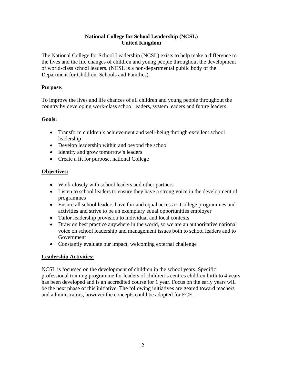#### **National College for School Leadership (NCSL) United Kingdom**

The National College for School Leadership (NCSL) exists to help make a difference to the lives and the life changes of children and young people throughout the development of world-class school leaders. (NCSL is a non-departmental public body of the Department for Children, Schools and Families).

#### **Purpose:**

To improve the lives and life chances of all children and young people throughout the country by developing work-class school leaders, system leaders and future leaders.

#### **Goals:**

- Transform children's achievement and well-being through excellent school leadership
- Develop leadership within and beyond the school
- Identify and grow tomorrow's leaders
- Create a fit for purpose, national College

#### **Objectives:**

- Work closely with school leaders and other partners
- Listen to school leaders to ensure they have a strong voice in the development of programmes
- Ensure all school leaders have fair and equal access to College programmes and activities and strive to be an exemplary equal opportunities employer
- Tailor leadership provision to individual and local contexts
- Draw on best practice anywhere in the world, so we are an authoritative national voice on school leadership and management issues both to school leaders and to Government
- Constantly evaluate our impact, welcoming external challenge

#### **Leadership Activities:**

NCSL is focussed on the development of children in the school years. Specific professional training programme for leaders of children's centres children birth to 4 years has been developed and is an accredited course for 1 year. Focus on the early years will be the next phase of this initiative. The following initiatives are geared toward teachers and administrators, however the concepts could be adopted for ECE.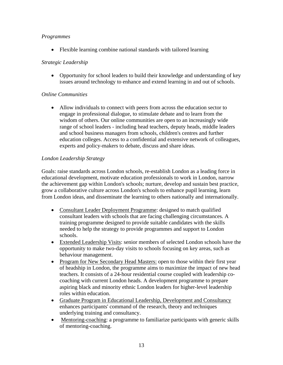#### *Programmes*

• Flexible learning combine national standards with tailored learning

## *Strategic Leadership*

• Opportunity for school leaders to build their knowledge and understanding of key issues around technology to enhance and extend learning in and out of schools.

## *Online Communities*

• Allow individuals to connect with peers from across the education sector to engage in professional dialogue, to stimulate debate and to learn from the wisdom of others. Our online communities are open to an increasingly wide range of school leaders - including head teachers, deputy heads, middle leaders and school business managers from schools, children's centres and further education colleges. Access to a confidential and extensive network of colleagues, experts and policy-makers to debate, discuss and share ideas.

## *London Leadership Strategy*

Goals: raise standards across London schools, re-establish London as a leading force in educational development, motivate education professionals to work in London, narrow the achievement gap within London's schools; nurture, develop and sustain best practice, grow a collaborative culture across London's schools to enhance pupil learning, learn from London ideas, and disseminate the learning to others nationally and internationally.

- Consultant Leader Deployment Programme: designed to match qualified consultant leaders with schools that are facing challenging circumstances. A training programme designed to provide suitable candidates with the skills needed to help the strategy to provide programmes and support to London schools.
- Extended Leadership Visits: senior members of selected London schools have the opportunity to make two-day visits to schools focusing on key areas, such as behaviour management.
- Program for New Secondary Head Masters: open to those within their first year of headship in London, the programme aims to maximize the impact of new head teachers. It consists of a 24-hour residential course coupled with leadership cocoaching with current London heads. A development programme to prepare aspiring black and minority ethnic London leaders for higher-level leadership roles within education.
- Graduate Program in Educational Leadership, Development and Consultancy enhances participants' command of the research, theory and techniques underlying training and consultancy.
- Mentoring-coaching: a programme to familiarize participants with generic skills of mentoring-coaching.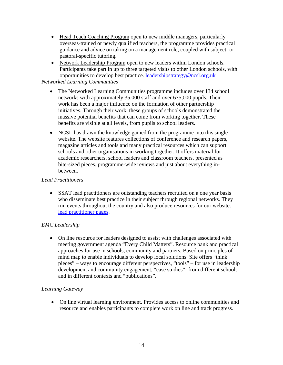- Head Teach Coaching Program open to new middle managers, particularly overseas-trained or newly qualified teachers, the programme provides practical guidance and advice on taking on a management role, coupled with subject- or pastoral-specific tutoring.
- Network Leadership Program open to new leaders within London schools. Participants take part in up to three targeted visits to other London schools, with opportunities to develop best practice. [leadershipstrategy@ncsl.org.uk](mailto:leadershipstrategy@ncsl.org.uk)

## *Networked Learning Communities*

- The Networked Learning Communities programme includes over 134 school networks with approximately 35,000 staff and over 675,000 pupils. Their work has been a major influence on the formation of other partnership initiatives. Through their work, these groups of schools demonstrated the massive potential benefits that can come from working together. These benefits are visible at all levels, from pupils to school leaders.
- NCSL has drawn the knowledge gained from the programme into this single website. The website features collections of conference and research papers, magazine articles and tools and many practical resources which can support schools and other organisations in working together. It offers material for academic researchers, school leaders and classroom teachers, presented as bite-sized pieces, programme-wide reviews and just about everything inbetween.

#### *Lead Practitioners*

• SSAT lead practitioners are outstanding teachers recruited on a one year basis who disseminate best practice in their subject through regional networks. They run events throughout the country and also produce resources for our website. [lead practitioner pages.](http://www.schoolsnetwork.org.uk/Article.aspa?PageId=236636&NodeId=350)

#### *EMC Leadership*

• On line resource for leaders designed to assist with challenges associated with meeting government agenda "Every Child Matters". Resource bank and practical approaches for use in schools, community and partners. Based on principles of mind map to enable individuals to develop local solutions. Site offers "think pieces" – ways to encourage different perspectives, "tools" – for use in leadership development and community engagement, "case studies"- from different schools and in different contexts and "publications".

#### *Learning Gateway*

• On line virtual learning environment. Provides access to online communities and resource and enables participants to complete work on line and track progress.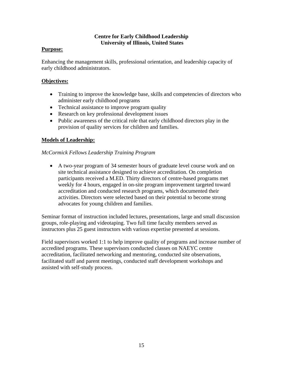#### **Centre for Early Childhood Leadership University of Illinois, United States**

#### **Purpose:**

Enhancing the management skills, professional orientation, and leadership capacity of early childhood administrators.

#### **Objectives:**

- Training to improve the knowledge base, skills and competencies of directors who administer early childhood programs
- Technical assistance to improve program quality
- Research on key professional development issues
- Public awareness of the critical role that early childhood directors play in the provision of quality services for children and families.

#### **Models of Leadership:**

#### *McCormick Fellows Leadership Training Program*

• A two-year program of 34 semester hours of graduate level course work and on site technical assistance designed to achieve accreditation. On completion participants received a M.ED. Thirty directors of centre-based programs met weekly for 4 hours, engaged in on-site program improvement targeted toward accreditation and conducted research programs, which documented their activities. Directors were selected based on their potential to become strong advocates for young children and families.

Seminar format of instruction included lectures, presentations, large and small discussion groups, role-playing and videotaping. Two full time faculty members served as instructors plus 25 guest instructors with various expertise presented at sessions.

Field supervisors worked 1:1 to help improve quality of programs and increase number of accredited programs. These supervisors conducted classes on NAEYC centre accreditation, facilitated networking and mentoring, conducted site observations, facilitated staff and parent meetings, conducted staff development workshops and assisted with self-study process.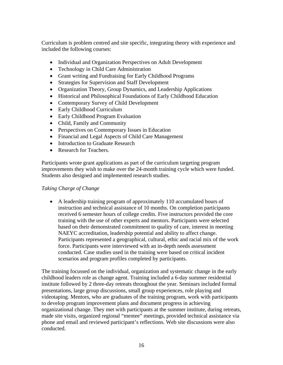Curriculum is problem centred and site specific, integrating theory with experience and included the following courses:

- Individual and Organization Perspectives on Adult Development
- Technology in Child Care Administration
- Grant writing and Fundraising for Early Childhood Programs
- Strategies for Supervision and Staff Development
- Organization Theory, Group Dynamics, and Leadership Applications
- Historical and Philosophical Foundations of Early Childhood Education
- Contemporary Survey of Child Development
- Early Childhood Curriculum
- Early Childhood Program Evaluation
- Child, Family and Community
- Perspectives on Contemporary Issues in Education
- Financial and Legal Aspects of Child Care Management
- Introduction to Graduate Research
- Research for Teachers.

Participants wrote grant applications as part of the curriculum targeting program improvements they wish to make over the 24-month training cycle which were funded. Students also designed and implemented research studies.

#### *Taking Charge of Change*

• A leadership training program of approximately 110 accumulated hours of instruction and technical assistance of 10 months. On completion participants received 6 semester hours of college credits. Five instructors provided the core training with the use of other experts and mentors. Participants were selected based on their demonstrated commitment to quality of care, interest in meeting NAEYC accreditation, leadership potential and ability to affect change. Participants represented a geographical, cultural, ethic and racial mix of the work force. Participants were interviewed with an in-depth needs assessment conducted. Case studies used in the training were based on critical incident scenarios and program profiles completed by participants.

The training focussed on the individual, organization and systematic change in the early childhood leaders role as change agent. Training included a 6-day summer residential institute followed by 2 three-day retreats throughout the year. Seminars included formal presentations, large group discussions, small group experiences, role playing and videotaping. Mentors, who are graduates of the training program, work with participants to develop program improvement plans and document progress in achieving organizational change. They met with participants at the summer institute, during retreats, made site visits, organized regional "mentee" meetings, provided technical assistance via phone and email and reviewed participant's reflections. Web site discussions were also conducted.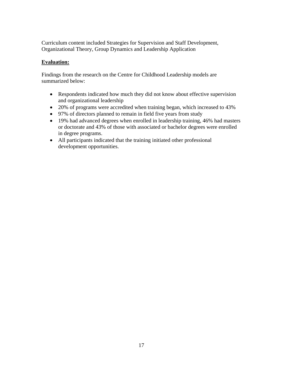Curriculum content included Strategies for Supervision and Staff Development, Organizational Theory, Group Dynamics and Leadership Application

## **Evaluation:**

Findings from the research on the Centre for Childhood Leadership models are summarized below:

- Respondents indicated how much they did not know about effective supervision and organizational leadership
- 20% of programs were accredited when training began, which increased to 43%
- 97% of directors planned to remain in field five years from study
- 19% had advanced degrees when enrolled in leadership training, 46% had masters or doctorate and 43% of those with associated or bachelor degrees were enrolled in degree programs.
- All participants indicated that the training initiated other professional development opportunities.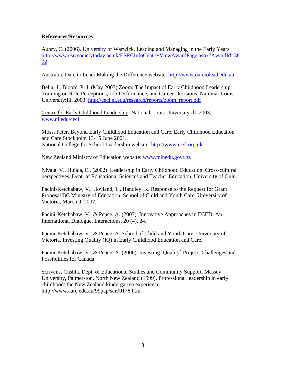#### **References/Resources**:

Aubry, C. (2006). University of Warwick. Leading and Managing in the Early Years. [http://www.esrcsocietytoday.ac.uk/ESRCInfoCentre/ViewAwardPage.aspx?AwardId=38](http://www.esrcsocietytoday.ac.uk/ESRCInfoCentre/ViewAwardPage.aspx?AwardId=3802) [02](http://www.esrcsocietytoday.ac.uk/ESRCInfoCentre/ViewAwardPage.aspx?AwardId=3802)

Australia: Dare to Lead: Making the Difference website: [http://www.daretolead.edu.au](http://www.daretolead.edu.au/)

Bella, J., Bloom, P. J. (May 2003) Zoom: The Impact of Early Childhood Leadership Training on Role Perceptions, Job Performance, and Career Decisions. National-Louis University:Ill, 2003. [http://cecl.nl.edu/research/reports/zoom\\_report.pdf](http://cecl.nl.edu/research/reports/zoom_report.pdf)

Centre for Early Childhood Leadership, National-Louis University:Ill, 2003. [www.nl.edu/cecl](http://www.nl.edu/cecl)

Moss, Peter. Beyond Early Childhood Education and Care. Early Childhood Education and Care Stockholm 13-15 June 2001. National College for School Leadership website: [http://www.ncsl.org.uk](http://www.ncsl.org.uk/)

New Zealand Ministry of Education website: [www.minedu.govt.nz](http://www.minedu.govt.nz/)

Nivala, V., Hujala, E., (2002). Leadership in Early Childhood Education. Cross-cultural perspectives. Dept. of Educational Sciences and Teacher Education, University of Oulu.

Pacini-Ketchabaw, V., Hoyland, T., Handley, K. Response to the Request for Grant Proposal BC Ministry of Education. School of Child and Youth Care, University of Victoria, March 9, 2007.

Pacini-Ketchabaw, V., & Pence, A. (2007). Innovative Approaches in ECED: An International Dialogue. Interactions, 20 (4), 24.

Pacini-Ketchabaw, V., & Pence, A. School of Child and Youth Care, University of Victoria. Investing Quality (IQ) in Early Childhood Education and Care.

Pacini-Ketchabaw, V., & Pence, A. (2006). Investing `Quality` Project: Challenges and Possibilities for Canada.

Scrivens, Cushla. Dept. of Educational Studies and Community Support, Massey University, Palmerston, North New Zealand (1999). Professional leadership in early childhood: the New Zealand kindergarten experience. http://www.aare.edu.au/99pap/scr99178.htm